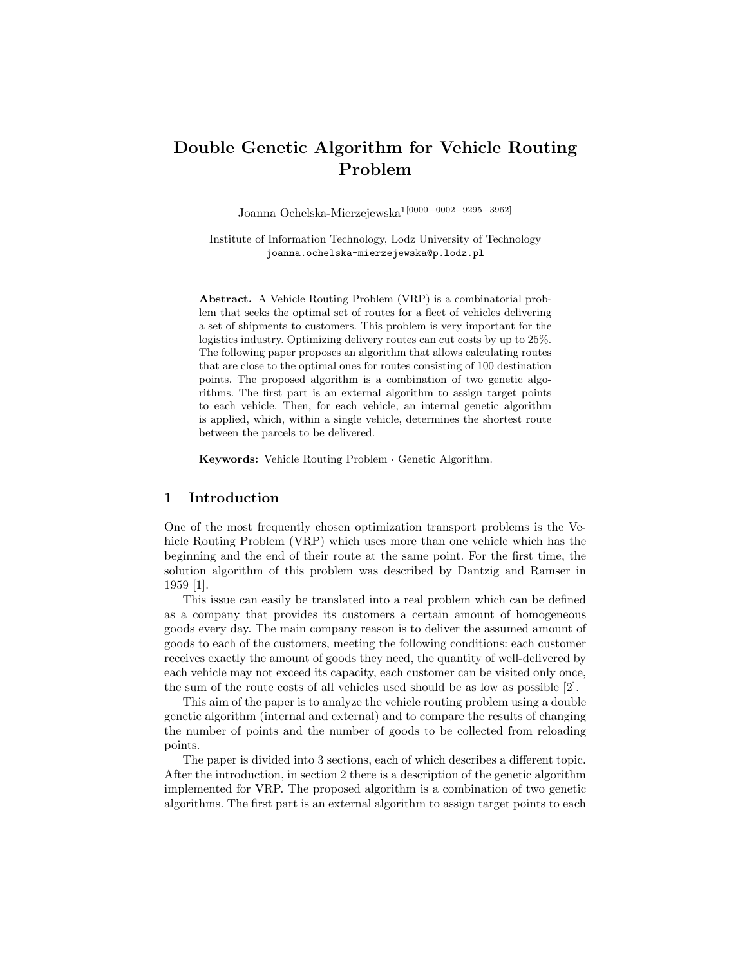# Double Genetic Algorithm for Vehicle Routing Problem

Joanna Ochelska-Mierzejewska1[0000−0002−9295−3962]

Institute of Information Technology, Lodz University of Technology joanna.ochelska-mierzejewska@p.lodz.pl

Abstract. A Vehicle Routing Problem (VRP) is a combinatorial problem that seeks the optimal set of routes for a fleet of vehicles delivering a set of shipments to customers. This problem is very important for the logistics industry. Optimizing delivery routes can cut costs by up to 25%. The following paper proposes an algorithm that allows calculating routes that are close to the optimal ones for routes consisting of 100 destination points. The proposed algorithm is a combination of two genetic algorithms. The first part is an external algorithm to assign target points to each vehicle. Then, for each vehicle, an internal genetic algorithm is applied, which, within a single vehicle, determines the shortest route between the parcels to be delivered.

Keywords: Vehicle Routing Problem · Genetic Algorithm.

### 1 Introduction

One of the most frequently chosen optimization transport problems is the Vehicle Routing Problem (VRP) which uses more than one vehicle which has the beginning and the end of their route at the same point. For the first time, the solution algorithm of this problem was described by Dantzig and Ramser in 1959 [1].

This issue can easily be translated into a real problem which can be defined as a company that provides its customers a certain amount of homogeneous goods every day. The main company reason is to deliver the assumed amount of goods to each of the customers, meeting the following conditions: each customer receives exactly the amount of goods they need, the quantity of well-delivered by each vehicle may not exceed its capacity, each customer can be visited only once, the sum of the route costs of all vehicles used should be as low as possible [2].

This aim of the paper is to analyze the vehicle routing problem using a double genetic algorithm (internal and external) and to compare the results of changing the number of points and the number of goods to be collected from reloading points.

The paper is divided into 3 sections, each of which describes a different topic. After the introduction, in section 2 there is a description of the genetic algorithm implemented for VRP. The proposed algorithm is a combination of two genetic algorithms. The first part is an external algorithm to assign target points to each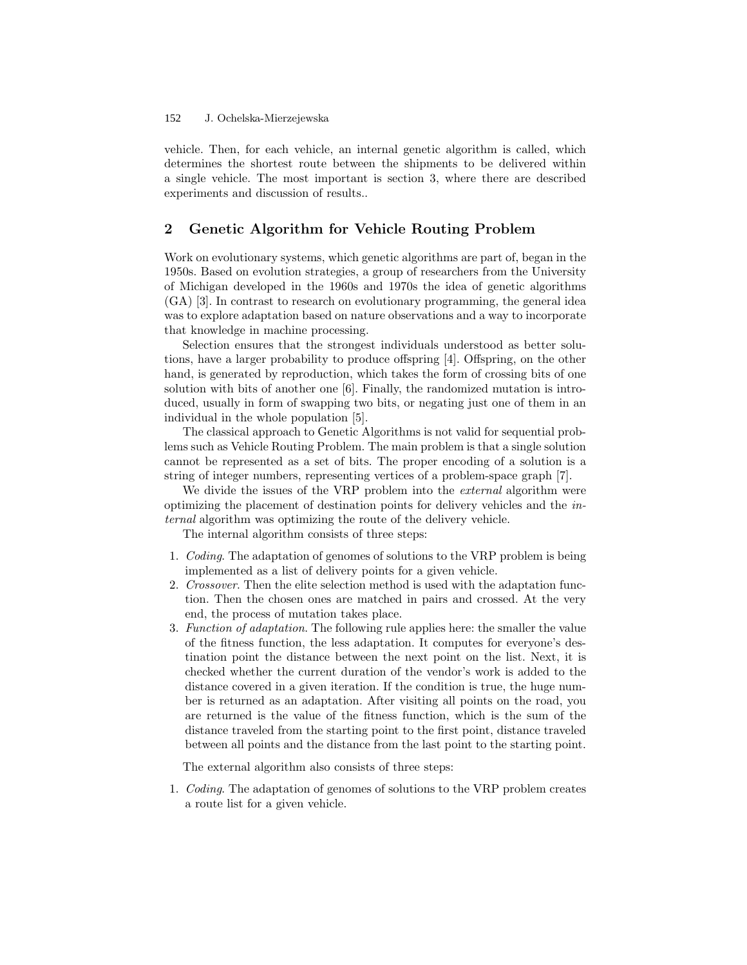#### J. Ochelska-Mierzejewska 152

vehicle. Then, for each vehicle, an internal genetic algorithm is called, which determines the shortest route between the shipments to be delivered within a single vehicle. The most important is section 3, where there are described experiments and discussion of results..

# 2 Genetic Algorithm for Vehicle Routing Problem

Work on evolutionary systems, which genetic algorithms are part of, began in the 1950s. Based on evolution strategies, a group of researchers from the University of Michigan developed in the 1960s and 1970s the idea of genetic algorithms (GA) [3]. In contrast to research on evolutionary programming, the general idea was to explore adaptation based on nature observations and a way to incorporate that knowledge in machine processing.

Selection ensures that the strongest individuals understood as better solutions, have a larger probability to produce offspring [4]. Offspring, on the other hand, is generated by reproduction, which takes the form of crossing bits of one solution with bits of another one [6]. Finally, the randomized mutation is introduced, usually in form of swapping two bits, or negating just one of them in an individual in the whole population [5].

The classical approach to Genetic Algorithms is not valid for sequential problems such as Vehicle Routing Problem. The main problem is that a single solution cannot be represented as a set of bits. The proper encoding of a solution is a string of integer numbers, representing vertices of a problem-space graph [7].

We divide the issues of the VRP problem into the *external* algorithm were optimizing the placement of destination points for delivery vehicles and the internal algorithm was optimizing the route of the delivery vehicle.

The internal algorithm consists of three steps:

- 1. Coding. The adaptation of genomes of solutions to the VRP problem is being implemented as a list of delivery points for a given vehicle.
- 2. Crossover. Then the elite selection method is used with the adaptation function. Then the chosen ones are matched in pairs and crossed. At the very end, the process of mutation takes place.
- 3. Function of adaptation. The following rule applies here: the smaller the value of the fitness function, the less adaptation. It computes for everyone's destination point the distance between the next point on the list. Next, it is checked whether the current duration of the vendor's work is added to the distance covered in a given iteration. If the condition is true, the huge number is returned as an adaptation. After visiting all points on the road, you are returned is the value of the fitness function, which is the sum of the distance traveled from the starting point to the first point, distance traveled between all points and the distance from the last point to the starting point.

The external algorithm also consists of three steps:

1. Coding. The adaptation of genomes of solutions to the VRP problem creates a route list for a given vehicle.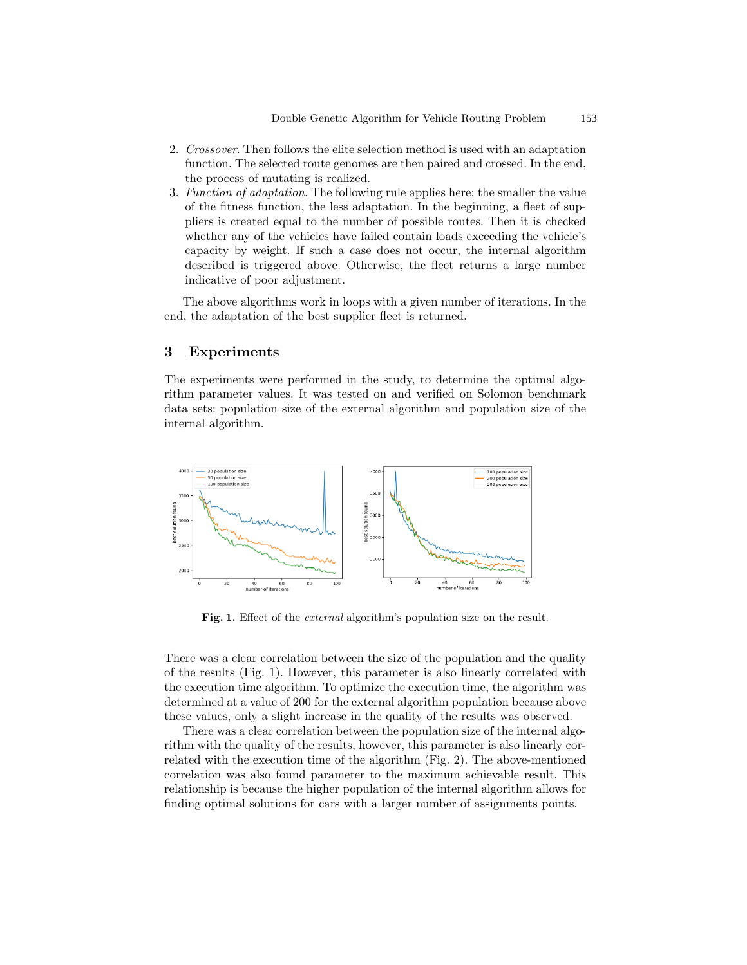- 2. Crossover. Then follows the elite selection method is used with an adaptation function. The selected route genomes are then paired and crossed. In the end, the process of mutating is realized.
- 3. Function of adaptation. The following rule applies here: the smaller the value of the fitness function, the less adaptation. In the beginning, a fleet of suppliers is created equal to the number of possible routes. Then it is checked whether any of the vehicles have failed contain loads exceeding the vehicle's capacity by weight. If such a case does not occur, the internal algorithm described is triggered above. Otherwise, the fleet returns a large number indicative of poor adjustment.

The above algorithms work in loops with a given number of iterations. In the end, the adaptation of the best supplier fleet is returned.

### 3 Experiments

The experiments were performed in the study, to determine the optimal algorithm parameter values. It was tested on and verified on Solomon benchmark data sets: population size of the external algorithm and population size of the internal algorithm.



Fig. 1. Effect of the *external* algorithm's population size on the result.

There was a clear correlation between the size of the population and the quality of the results (Fig. 1). However, this parameter is also linearly correlated with the execution time algorithm. To optimize the execution time, the algorithm was determined at a value of 200 for the external algorithm population because above these values, only a slight increase in the quality of the results was observed.

There was a clear correlation between the population size of the internal algorithm with the quality of the results, however, this parameter is also linearly correlated with the execution time of the algorithm (Fig. 2). The above-mentioned correlation was also found parameter to the maximum achievable result. This relationship is because the higher population of the internal algorithm allows for finding optimal solutions for cars with a larger number of assignments points.